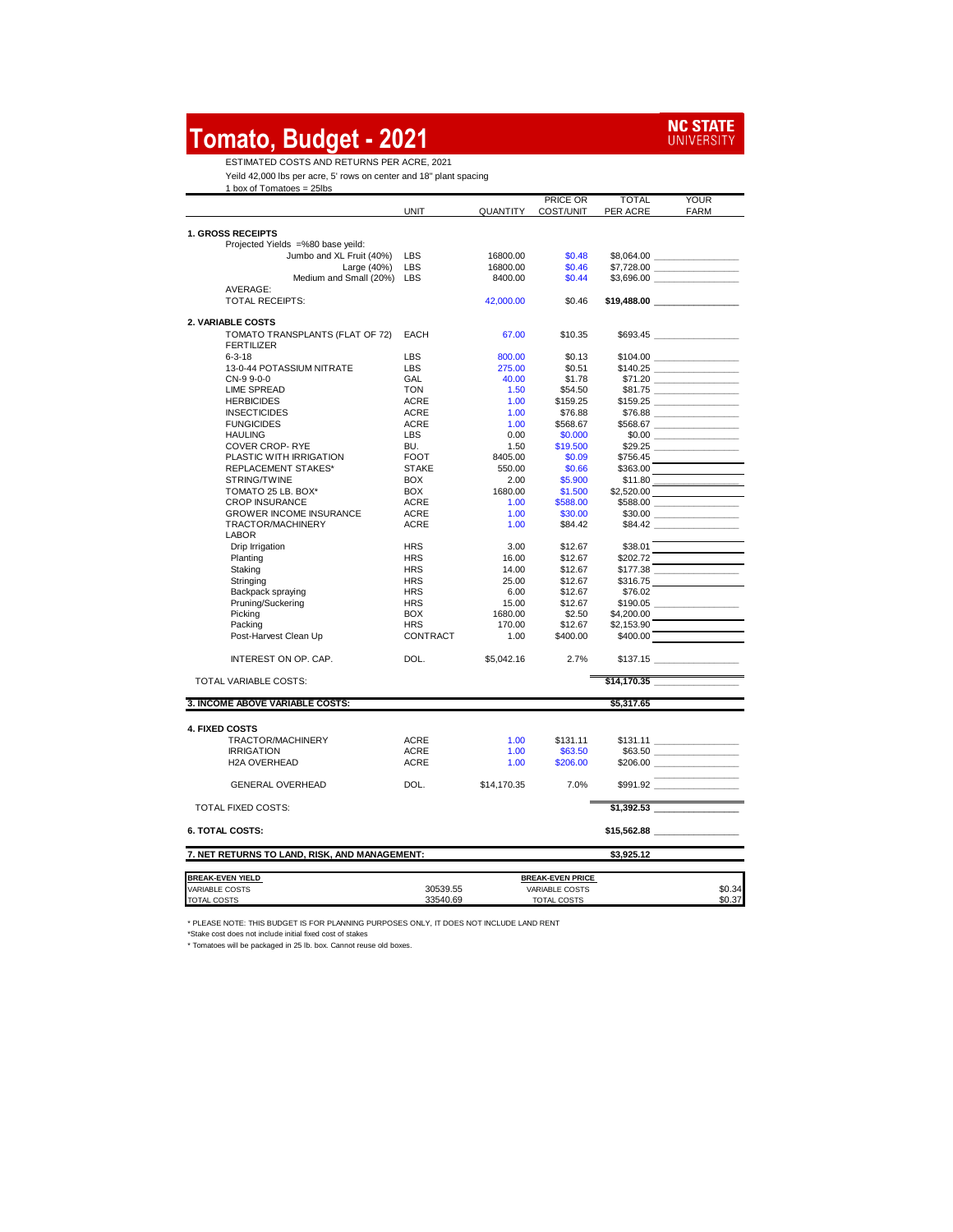## **Tomato, Budget - 2021**



ESTIMATED COSTS AND RETURNS PER ACRE, 2021

Yeild 42,000 lbs per acre, 5' rows on center and 18" plant spacing

1 box of Tomatoes  $= 25$ lbs

| 1 DOX OT 1 OMATORS = 25IDS                             |                          |                  | PRICE OR                | <b>TOTAL</b> | <b>YOUR</b>                            |
|--------------------------------------------------------|--------------------------|------------------|-------------------------|--------------|----------------------------------------|
|                                                        | <b>UNIT</b>              | QUANTITY         | COST/UNIT               | PER ACRE     | FARM                                   |
|                                                        |                          |                  |                         |              |                                        |
| 1. GROSS RECEIPTS<br>Projected Yields =%80 base yeild: |                          |                  |                         |              |                                        |
|                                                        |                          |                  |                         |              |                                        |
| Jumbo and XL Fruit (40%)                               | <b>LBS</b>               | 16800.00         | \$0.48                  |              |                                        |
| Large (40%)                                            | <b>LBS</b>               | 16800.00         | \$0.46                  |              |                                        |
| Medium and Small (20%) LBS<br>AVERAGE:                 |                          | 8400.00          | \$0.44                  |              | \$3,696.00                             |
| <b>TOTAL RECEIPTS:</b>                                 |                          |                  |                         |              |                                        |
|                                                        |                          | 42,000.00        | \$0.46                  |              |                                        |
| 2. VARIABLE COSTS                                      |                          |                  |                         |              |                                        |
| TOMATO TRANSPLANTS (FLAT OF 72)                        | <b>EACH</b>              | 67.00            | \$10.35                 |              |                                        |
| <b>FERTILIZER</b>                                      |                          |                  |                         |              |                                        |
| $6 - 3 - 18$                                           | LBS                      | 800.00           | \$0.13                  |              |                                        |
| 13-0-44 POTASSIUM NITRATE                              | LBS                      | 275.00           | \$0.51                  |              |                                        |
| CN-9 9-0-0                                             | GAL                      | 40.00            | \$1.78                  |              |                                        |
| <b>LIME SPREAD</b>                                     | <b>TON</b>               | 1.50             | \$54.50                 |              | \$81.75                                |
|                                                        |                          |                  |                         |              |                                        |
| <b>HERBICIDES</b>                                      | <b>ACRE</b>              | 1.00             | \$159.25                |              |                                        |
| <b>INSECTICIDES</b>                                    | <b>ACRE</b>              | 1.00             | \$76.88                 |              |                                        |
| <b>FUNGICIDES</b>                                      | <b>ACRE</b>              | 1.00             | \$568.67                |              | \$568.67                               |
| <b>HAULING</b>                                         | <b>LBS</b>               | 0.00             | \$0.000                 |              | \$0.00                                 |
| COVER CROP-RYE                                         | BU.                      | 1.50             | \$19.500                |              |                                        |
| PLASTIC WITH IRRIGATION                                | <b>FOOT</b>              | 8405.00          | \$0.09                  | \$756.45     |                                        |
| REPLACEMENT STAKES*                                    | <b>STAKE</b>             | 550.00           | \$0.66                  |              | $$363.00$ $\overline{\qquad}$ $\qquad$ |
| STRING/TWINE                                           | <b>BOX</b>               | 2.00             | \$5.900                 | \$11.80      |                                        |
| TOMATO 25 LB. BOX*                                     | <b>BOX</b>               | 1680.00          | \$1.500                 |              |                                        |
| <b>CROP INSURANCE</b>                                  | <b>ACRE</b>              | 1.00             | \$588.00                |              | \$588.00                               |
| GROWER INCOME INSURANCE                                | <b>ACRE</b>              | 1.00             | \$30.00                 |              |                                        |
| TRACTOR/MACHINERY                                      | <b>ACRE</b>              | 1.00             | \$84.42                 |              | \$84.42                                |
| <b>LABOR</b>                                           |                          |                  |                         |              |                                        |
| Drip Irrigation                                        | <b>HRS</b>               | 3.00             | \$12.67                 | \$38.01      |                                        |
| Planting                                               | <b>HRS</b>               | 16.00            | \$12.67                 | \$202.72     |                                        |
| Staking                                                | <b>HRS</b>               | 14.00            | \$12.67                 |              | \$177.38                               |
| Stringing                                              | <b>HRS</b>               | 25.00            | \$12.67                 |              | \$316.75                               |
| Backpack spraying                                      | <b>HRS</b>               | 6.00             | \$12.67                 | \$76.02      |                                        |
|                                                        |                          |                  | \$12.67                 |              |                                        |
| Pruning/Suckering                                      | <b>HRS</b><br><b>BOX</b> | 15.00<br>1680.00 |                         |              |                                        |
| Picking                                                |                          |                  | \$2.50                  |              |                                        |
| Packing                                                | <b>HRS</b>               | 170.00           | \$12.67                 | \$2,153.90   |                                        |
| Post-Harvest Clean Up                                  | CONTRACT                 | 1.00             | \$400.00                |              | $$400.00$ $\qquad \qquad \qquad$       |
| INTEREST ON OP. CAP.                                   | DOL.                     | \$5,042.16       | 2.7%                    |              | $$137.15$ _____________________        |
| <b>TOTAL VARIABLE COSTS:</b>                           |                          |                  |                         |              | \$14,170.35                            |
|                                                        |                          |                  |                         |              |                                        |
| 3. INCOME ABOVE VARIABLE COSTS:                        |                          |                  |                         | \$5,317.65   |                                        |
|                                                        |                          |                  |                         |              |                                        |
| <b>4. FIXED COSTS</b>                                  |                          |                  |                         |              |                                        |
| TRACTOR/MACHINERY                                      | <b>ACRE</b>              | 1.00             | \$131.11                |              | $$131.11$ ________________             |
| <b>IRRIGATION</b>                                      | <b>ACRE</b>              | 1.00             | \$63.50                 |              |                                        |
| <b>H2A OVERHEAD</b>                                    | <b>ACRE</b>              | 1.00             | \$206.00                |              |                                        |
|                                                        |                          |                  |                         |              |                                        |
| <b>GENERAL OVERHEAD</b>                                | DOL.                     | \$14,170.35      | 7.0%                    |              | \$991.92                               |
| TOTAL FIXED COSTS:                                     |                          |                  |                         |              | \$1,392.53                             |
| <b>6. TOTAL COSTS:</b>                                 |                          |                  |                         |              | $$15,562.88$ ____________________      |
| 7. NET RETURNS TO LAND, RISK, AND MANAGEMENT:          |                          |                  |                         | \$3,925.12   |                                        |
|                                                        |                          |                  |                         |              |                                        |
| <b>BREAK-EVEN YIELD</b>                                |                          |                  | <b>BREAK-EVEN PRICE</b> |              |                                        |
| <b>VARIABLE COSTS</b>                                  | 30539.55                 |                  | VARIABLE COSTS          |              | \$0.34                                 |
| <b>TOTAL COSTS</b>                                     | 33540.69<br>TOTAL COSTS  |                  |                         |              | \$0.37                                 |

\* PLEASE NOTE: THIS BUDGET IS FOR PLANNING PURPOSES ONLY, IT DOES NOT INCLUDE LAND RENT

\*Stake cost does not include initial fixed cost of stakes

\* Tomatoes will be packaged in 25 lb. box. Cannot reuse old boxes.